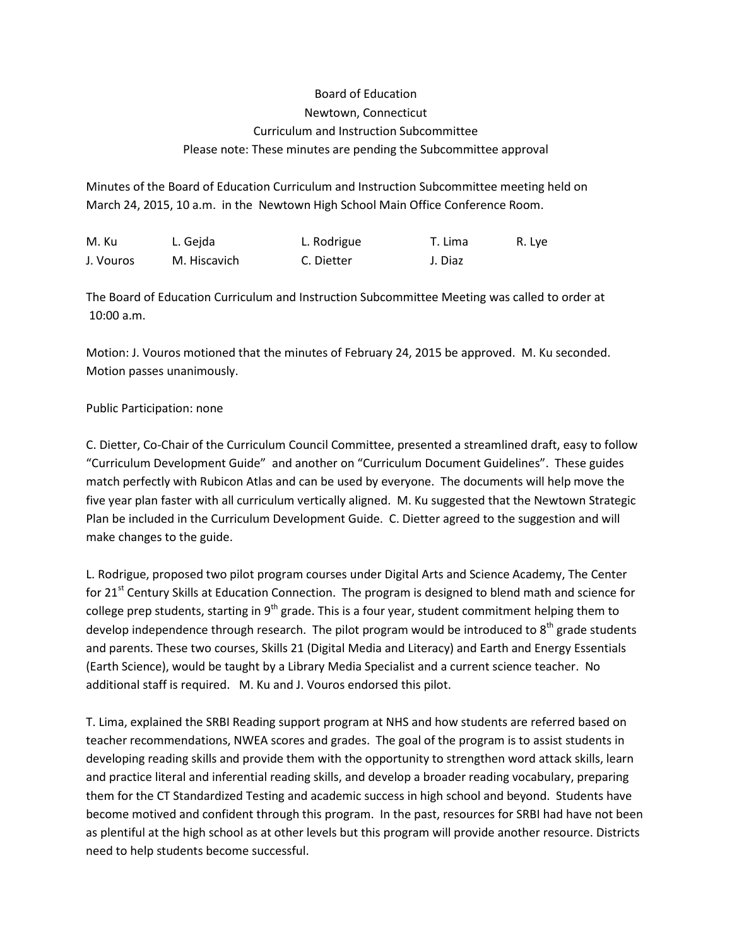## Board of Education Newtown, Connecticut Curriculum and Instruction Subcommittee Please note: These minutes are pending the Subcommittee approval

Minutes of the Board of Education Curriculum and Instruction Subcommittee meeting held on March 24, 2015, 10 a.m. in the Newtown High School Main Office Conference Room.

| M. Ku     | L. Geida     | L. Rodrigue | T. Lima | R. Lye |
|-----------|--------------|-------------|---------|--------|
| J. Vouros | M. Hiscavich | C. Dietter  | J. Diaz |        |

The Board of Education Curriculum and Instruction Subcommittee Meeting was called to order at 10:00 a.m.

Motion: J. Vouros motioned that the minutes of February 24, 2015 be approved. M. Ku seconded. Motion passes unanimously.

## Public Participation: none

C. Dietter, Co-Chair of the Curriculum Council Committee, presented a streamlined draft, easy to follow "Curriculum Development Guide" and another on "Curriculum Document Guidelines". These guides match perfectly with Rubicon Atlas and can be used by everyone. The documents will help move the five year plan faster with all curriculum vertically aligned. M. Ku suggested that the Newtown Strategic Plan be included in the Curriculum Development Guide. C. Dietter agreed to the suggestion and will make changes to the guide.

L. Rodrigue, proposed two pilot program courses under Digital Arts and Science Academy, The Center for 21<sup>st</sup> Century Skills at Education Connection. The program is designed to blend math and science for college prep students, starting in  $9<sup>th</sup>$  grade. This is a four year, student commitment helping them to develop independence through research. The pilot program would be introduced to  $8<sup>th</sup>$  grade students and parents. These two courses, Skills 21 (Digital Media and Literacy) and Earth and Energy Essentials (Earth Science), would be taught by a Library Media Specialist and a current science teacher. No additional staff is required. M. Ku and J. Vouros endorsed this pilot.

T. Lima, explained the SRBI Reading support program at NHS and how students are referred based on teacher recommendations, NWEA scores and grades. The goal of the program is to assist students in developing reading skills and provide them with the opportunity to strengthen word attack skills, learn and practice literal and inferential reading skills, and develop a broader reading vocabulary, preparing them for the CT Standardized Testing and academic success in high school and beyond. Students have become motived and confident through this program. In the past, resources for SRBI had have not been as plentiful at the high school as at other levels but this program will provide another resource. Districts need to help students become successful.